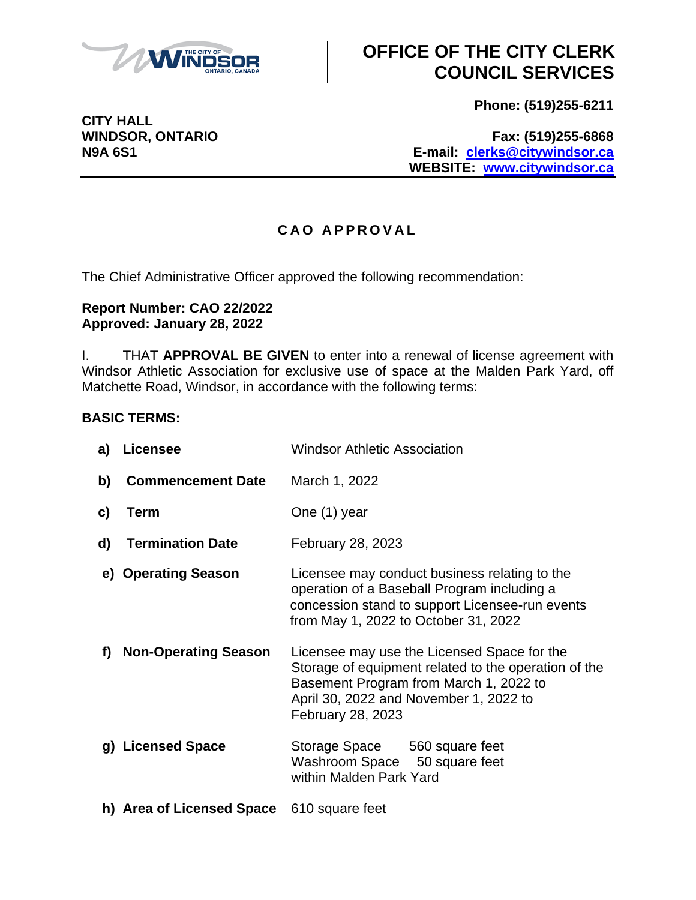

**Phone: (519)255-6211**

**WINDSOR, ONTARIO Fax: (519)255-6868 N9A 6S1 E-mail: [clerks@citywindsor.ca](mailto:clerks@citywindsor.ca) WEBSITE: [www.citywindsor.ca](http://www.citywindsor.ca/)**

#### **C A O A P P R O V A L**

The Chief Administrative Officer approved the following recommendation:

#### **Report Number: CAO 22/2022 Approved: January 28, 2022**

I. THAT **APPROVAL BE GIVEN** to enter into a renewal of license agreement with Windsor Athletic Association for exclusive use of space at the Malden Park Yard, off Matchette Road, Windsor, in accordance with the following terms:

#### **BASIC TERMS:**

| a) l | <b>Licensee</b>             | <b>Windsor Athletic Association</b>                                                                                                                                                                          |
|------|-----------------------------|--------------------------------------------------------------------------------------------------------------------------------------------------------------------------------------------------------------|
| b)   | <b>Commencement Date</b>    | March 1, 2022                                                                                                                                                                                                |
| c)   | <b>Term</b>                 | One (1) year                                                                                                                                                                                                 |
| d)   | <b>Termination Date</b>     | February 28, 2023                                                                                                                                                                                            |
|      | e) Operating Season         | Licensee may conduct business relating to the<br>operation of a Baseball Program including a<br>concession stand to support Licensee-run events<br>from May 1, 2022 to October 31, 2022                      |
| f)   | <b>Non-Operating Season</b> | Licensee may use the Licensed Space for the<br>Storage of equipment related to the operation of the<br>Basement Program from March 1, 2022 to<br>April 30, 2022 and November 1, 2022 to<br>February 28, 2023 |
|      | g) Licensed Space           | Storage Space 560 square feet<br>Washroom Space 50 square feet<br>within Malden Park Yard                                                                                                                    |
|      | h) Area of Licensed Space   | 610 square feet                                                                                                                                                                                              |

**CITY HALL**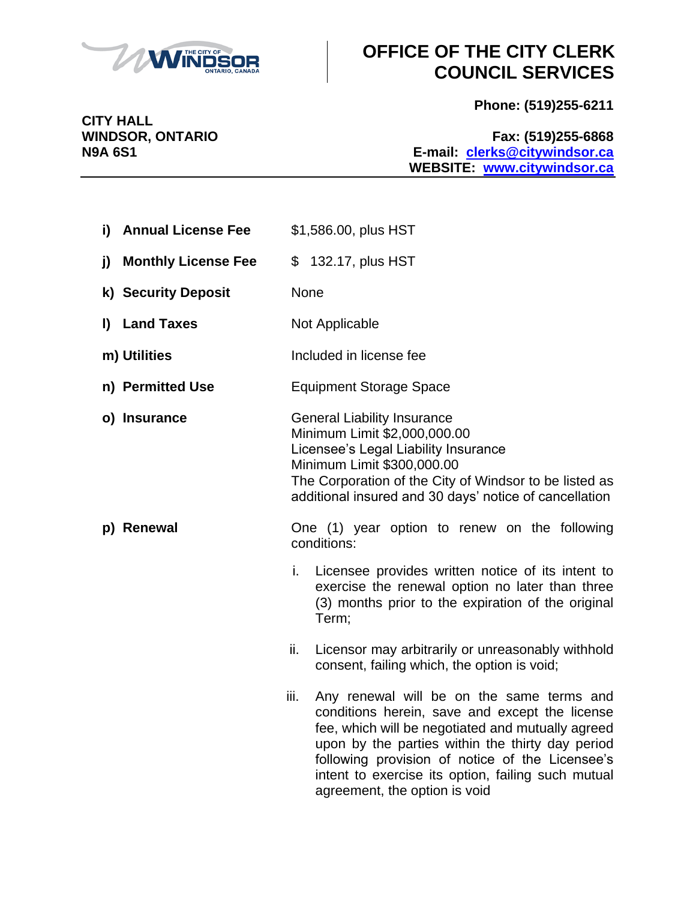

**Phone: (519)255-6211**

**WINDSOR, ONTARIO Fax: (519)255-6868 N9A 6S1 E-mail: [clerks@citywindsor.ca](mailto:clerks@citywindsor.ca) WEBSITE: [www.citywindsor.ca](http://www.citywindsor.ca/)**

| i) Annual License Fee             | \$1,586.00, plus HST                                                                                                                                                                                                                                                                                                                                                                                                                                                                                                                                                                                                                                                                                           |
|-----------------------------------|----------------------------------------------------------------------------------------------------------------------------------------------------------------------------------------------------------------------------------------------------------------------------------------------------------------------------------------------------------------------------------------------------------------------------------------------------------------------------------------------------------------------------------------------------------------------------------------------------------------------------------------------------------------------------------------------------------------|
| <b>Monthly License Fee</b><br>j)  | \$ 132.17, plus HST                                                                                                                                                                                                                                                                                                                                                                                                                                                                                                                                                                                                                                                                                            |
| k) Security Deposit               | <b>None</b>                                                                                                                                                                                                                                                                                                                                                                                                                                                                                                                                                                                                                                                                                                    |
| <b>Land Taxes</b><br>$\mathbf{D}$ | Not Applicable                                                                                                                                                                                                                                                                                                                                                                                                                                                                                                                                                                                                                                                                                                 |
| m) Utilities                      | Included in license fee                                                                                                                                                                                                                                                                                                                                                                                                                                                                                                                                                                                                                                                                                        |
| n) Permitted Use                  | <b>Equipment Storage Space</b>                                                                                                                                                                                                                                                                                                                                                                                                                                                                                                                                                                                                                                                                                 |
| o) Insurance                      | <b>General Liability Insurance</b><br>Minimum Limit \$2,000,000.00<br>Licensee's Legal Liability Insurance<br>Minimum Limit \$300,000.00<br>The Corporation of the City of Windsor to be listed as<br>additional insured and 30 days' notice of cancellation                                                                                                                                                                                                                                                                                                                                                                                                                                                   |
| p) Renewal                        | One (1) year option to renew on the following<br>conditions:<br>i.<br>Licensee provides written notice of its intent to<br>exercise the renewal option no later than three<br>(3) months prior to the expiration of the original<br>Term;<br>ii.<br>Licensor may arbitrarily or unreasonably withhold<br>consent, failing which, the option is void;<br>iii.<br>Any renewal will be on the same terms and<br>conditions herein, save and except the license<br>fee, which will be negotiated and mutually agreed<br>upon by the parties within the thirty day period<br>following provision of notice of the Licensee's<br>intent to exercise its option, failing such mutual<br>agreement, the option is void |

**CITY HALL<br>WINDSOR, ONTARIO**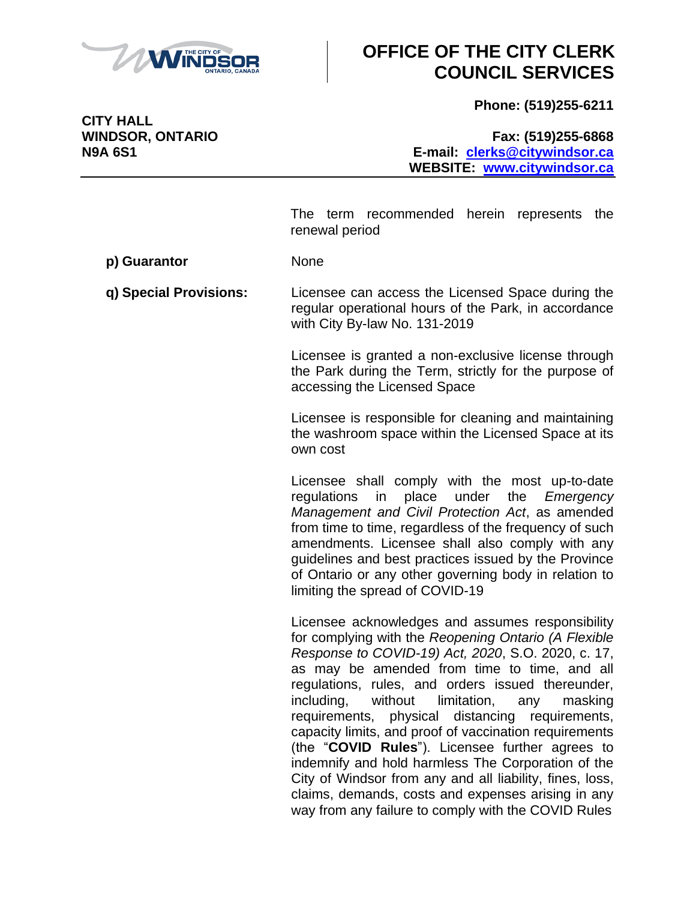

**Phone: (519)255-6211**

**CITY HALL**

#### **WINDSOR, ONTARIO Fax: (519)255-6868 N9A 6S1 E-mail: [clerks@citywindsor.ca](mailto:clerks@citywindsor.ca) WEBSITE: [www.citywindsor.ca](http://www.citywindsor.ca/)**

The term recommended herein represents the renewal period

**p) Guarantor** None

**q) Special Provisions:** Licensee can access the Licensed Space during the regular operational hours of the Park, in accordance with City By-law No. 131-2019

> Licensee is granted a non-exclusive license through the Park during the Term, strictly for the purpose of accessing the Licensed Space

> Licensee is responsible for cleaning and maintaining the washroom space within the Licensed Space at its own cost

> Licensee shall comply with the most up-to-date regulations in place under the *Emergency Management and Civil Protection Act*, as amended from time to time, regardless of the frequency of such amendments. Licensee shall also comply with any guidelines and best practices issued by the Province of Ontario or any other governing body in relation to limiting the spread of COVID-19

> Licensee acknowledges and assumes responsibility for complying with the *Reopening Ontario (A Flexible Response to COVID-19) Act, 2020*, S.O. 2020, c. 17, as may be amended from time to time, and all regulations, rules, and orders issued thereunder, including, without limitation, any masking requirements, physical distancing requirements, capacity limits, and proof of vaccination requirements (the "**COVID Rules**"). Licensee further agrees to indemnify and hold harmless The Corporation of the City of Windsor from any and all liability, fines, loss, claims, demands, costs and expenses arising in any way from any failure to comply with the COVID Rules